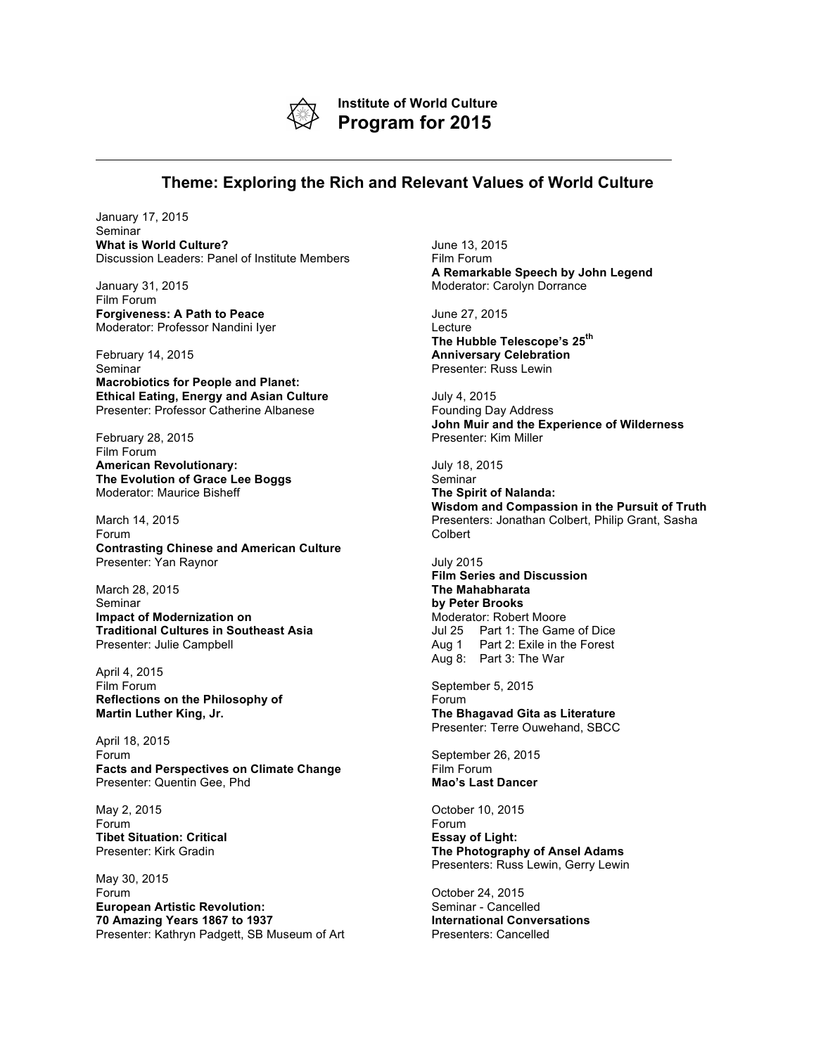

**Institute of World Culture Program for 2015**

## **Theme: Exploring the Rich and Relevant Values of World Culture**

January 17, 2015 Seminar **What is World Culture?** Discussion Leaders: Panel of Institute Members

January 31, 2015 Film Forum **Forgiveness: A Path to Peace** Moderator: Professor Nandini Iyer

February 14, 2015 Seminar **Macrobiotics for People and Planet: Ethical Eating, Energy and Asian Culture** Presenter: Professor Catherine Albanese

February 28, 2015 Film Forum **American Revolutionary: The Evolution of Grace Lee Boggs** Moderator: Maurice Bisheff

March 14, 2015 Forum **Contrasting Chinese and American Culture** Presenter: Yan Raynor

March 28, 2015 Seminar **Impact of Modernization on Traditional Cultures in Southeast Asia** Presenter: Julie Campbell

April 4, 2015 Film Forum **Reflections on the Philosophy of Martin Luther King, Jr.**

April 18, 2015 Forum **Facts and Perspectives on Climate Change** Presenter: Quentin Gee, Phd

May 2, 2015 Forum **Tibet Situation: Critical** Presenter: Kirk Gradin

May 30, 2015 Forum **European Artistic Revolution: 70 Amazing Years 1867 to 1937** Presenter: Kathryn Padgett, SB Museum of Art June 13, 2015 Film Forum **A Remarkable Speech by John Legend** Moderator: Carolyn Dorrance

June 27, 2015 Lecture **The Hubble Telescope's 25th Anniversary Celebration** Presenter: Russ Lewin

July 4, 2015 Founding Day Address **John Muir and the Experience of Wilderness** Presenter: Kim Miller

July 18, 2015 **Seminar The Spirit of Nalanda: Wisdom and Compassion in the Pursuit of Truth** Presenters: Jonathan Colbert, Philip Grant, Sasha Colbert

July 2015 **Film Series and Discussion The Mahabharata by Peter Brooks** Moderator: Robert Moore Jul 25 Part 1: The Game of Dice Aug 1 Part 2: Exile in the Forest Aug 8: Part 3: The War

September 5, 2015 Forum **The Bhagavad Gita as Literature** Presenter: Terre Ouwehand, SBCC

September 26, 2015 Film Forum **Mao's Last Dancer**

October 10, 2015 Forum **Essay of Light: The Photography of Ansel Adams** Presenters: Russ Lewin, Gerry Lewin

October 24, 2015 Seminar - Cancelled **International Conversations** Presenters: Cancelled